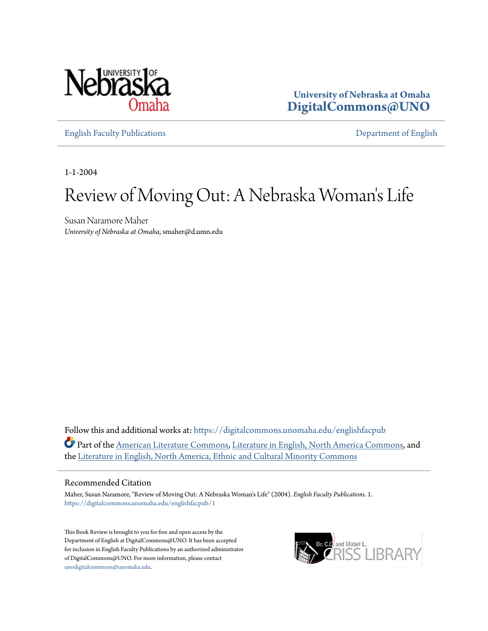

**University of Nebraska at Omaha [DigitalCommons@UNO](https://digitalcommons.unomaha.edu?utm_source=digitalcommons.unomaha.edu%2Fenglishfacpub%2F1&utm_medium=PDF&utm_campaign=PDFCoverPages)**

[English Faculty Publications](https://digitalcommons.unomaha.edu/englishfacpub?utm_source=digitalcommons.unomaha.edu%2Fenglishfacpub%2F1&utm_medium=PDF&utm_campaign=PDFCoverPages) [Department of English](https://digitalcommons.unomaha.edu/english?utm_source=digitalcommons.unomaha.edu%2Fenglishfacpub%2F1&utm_medium=PDF&utm_campaign=PDFCoverPages)

1-1-2004

# Review of Moving Out: A Nebraska Woman 's Life

Susan Naramore Maher *University of Nebraska at Omaha*, smaher@d.umn.edu

Follow this and additional works at: [https://digitalcommons.unomaha.edu/englishfacpub](https://digitalcommons.unomaha.edu/englishfacpub?utm_source=digitalcommons.unomaha.edu%2Fenglishfacpub%2F1&utm_medium=PDF&utm_campaign=PDFCoverPages) Part of the [American Literature Commons,](http://network.bepress.com/hgg/discipline/441?utm_source=digitalcommons.unomaha.edu%2Fenglishfacpub%2F1&utm_medium=PDF&utm_campaign=PDFCoverPages) [Literature in English, North America Commons](http://network.bepress.com/hgg/discipline/458?utm_source=digitalcommons.unomaha.edu%2Fenglishfacpub%2F1&utm_medium=PDF&utm_campaign=PDFCoverPages), and the [Literature in English, North America, Ethnic and Cultural Minority Commons](http://network.bepress.com/hgg/discipline/459?utm_source=digitalcommons.unomaha.edu%2Fenglishfacpub%2F1&utm_medium=PDF&utm_campaign=PDFCoverPages)

#### Recommended Citation

Maher, Susan Naramore, "Review of Moving Out: A Nebraska Woman's Life" (2004). *English Faculty Publications*. 1. [https://digitalcommons.unomaha.edu/englishfacpub/1](https://digitalcommons.unomaha.edu/englishfacpub/1?utm_source=digitalcommons.unomaha.edu%2Fenglishfacpub%2F1&utm_medium=PDF&utm_campaign=PDFCoverPages)

This Book Review is brought to you for free and open access by the Department of English at DigitalCommons@UNO. It has been accepted for inclusion in English Faculty Publications by an authorized administrator of DigitalCommons@UNO. For more information, please contact [unodigitalcommons@unomaha.edu](mailto:unodigitalcommons@unomaha.edu).

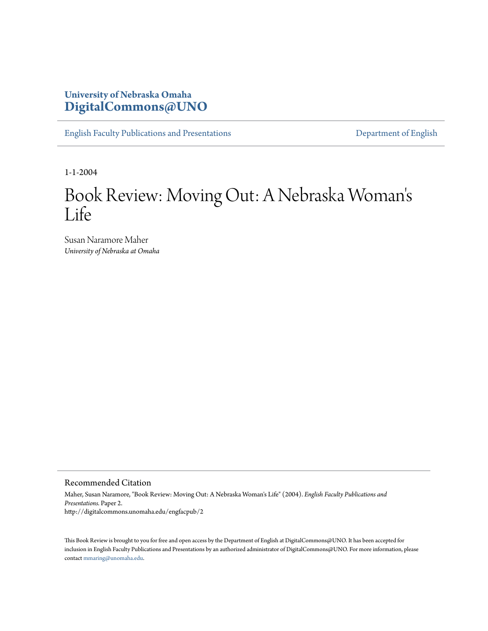## **University of Nebraska Omaha [DigitalCommons@UNO](http://digitalcommons.unomaha.edu)**

[English Faculty Publications and Presentations](http://digitalcommons.unomaha.edu/engfacpub) **[Department of English](http://digitalcommons.unomaha.edu/english)** 

1-1-2004

### Book Review: Moving Out: A Nebraska Woman ' s Life

Susan Naramore Maher *University of Nebraska at Omaha*

#### Recommended Citation

Maher, Susan Naramore, "Book Review: Moving Out: A Nebraska Woman's Life" (2004). *English Faculty Publications and Presentations.* Paper 2. http://digitalcommons.unomaha.edu/engfacpub/2

This Book Review is brought to you for free and open access by the Department of English at DigitalCommons@UNO. It has been accepted for inclusion in English Faculty Publications and Presentations by an authorized administrator of DigitalCommons@UNO. For more information, please contact [mmaring@unomaha.edu.](mailto:mmaring@unomaha.edu)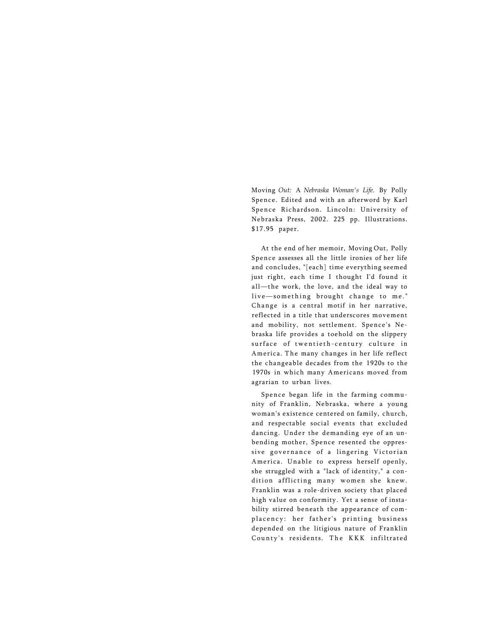Moving *Out:* A *Nebraska Woman's Life.* By Polly Spence. Edited and with an afterword by Karl Spence Richardson. Lincoln: University of Nebraska Press, 2002. 225 pp. Illustrations. \$17.95 paper.

At the end of her memoir, Moving Out, Polly Spence assesses all the little ironies of her life and concludes, "[each] time everything seemed just right, each time I thought I'd found it all—the work, the love, and the ideal way to live-something brought change to me." Change is a central motif in her narrative, reflected in a title that underscores movement and mobility, not settlement. Spence's Nebraska life provides a toehold on the slippery surface of twentieth-century culture in America. The many changes in her life reflect the changeable decades from the 1920s to the 1970s in which many Americans moved from agrarian to urban lives.

Spence began life in the farming community of Franklin, Nebraska, where a young woman's existence centered on family, church, and respectable social events that excluded dancing. Under the demanding eye of an unbending mother, Spence resented the oppressive governance of a lingering Victorian America. Unable to express herself openly, she struggled with a "lack of identity," a condition afflicting many women she knew. Franklin was a role-driven society that placed high value on conformity. Yet a sense of instability stirred beneath the appearance of complacency: her father's printing business depended on the litigious nature of Franklin County's residents. The KKK infiltrated